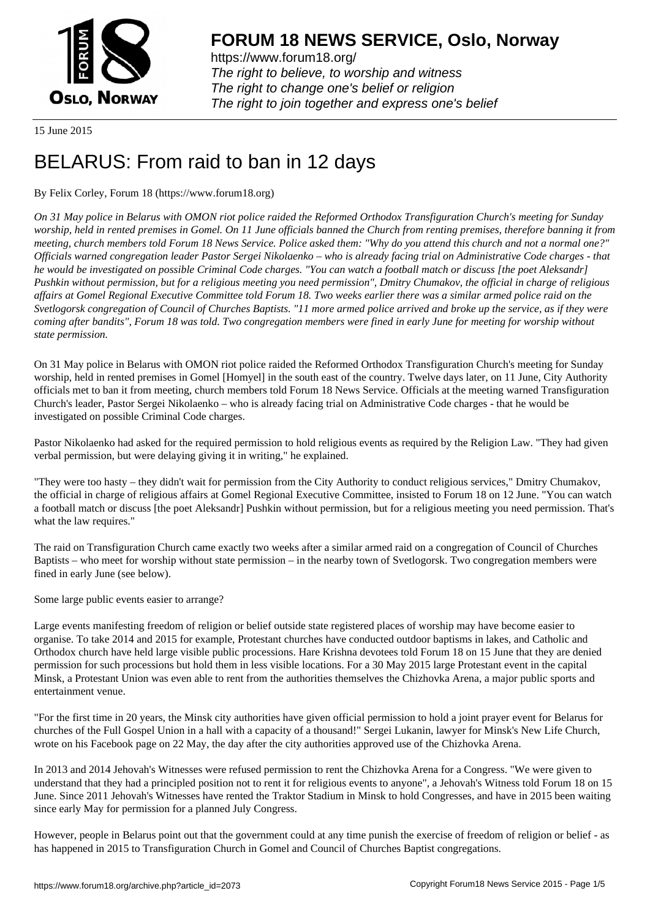

https://www.forum18.org/ The right to believe, to worship and witness The right to change one's belief or religion [The right to join together a](https://www.forum18.org/)nd express one's belief

15 June 2015

# [BELARUS: From](https://www.forum18.org) raid to ban in 12 days

By Felix Corley, Forum 18 (https://www.forum18.org)

*On 31 May police in Belarus with OMON riot police raided the Reformed Orthodox Transfiguration Church's meeting for Sunday worship, held in rented premises in Gomel. On 11 June officials banned the Church from renting premises, therefore banning it from meeting, church members told Forum 18 News Service. Police asked them: "Why do you attend this church and not a normal one?" Officials warned congregation leader Pastor Sergei Nikolaenko – who is already facing trial on Administrative Code charges - that he would be investigated on possible Criminal Code charges. "You can watch a football match or discuss [the poet Aleksandr] Pushkin without permission, but for a religious meeting you need permission", Dmitry Chumakov, the official in charge of religious affairs at Gomel Regional Executive Committee told Forum 18. Two weeks earlier there was a similar armed police raid on the Svetlogorsk congregation of Council of Churches Baptists. "11 more armed police arrived and broke up the service, as if they were coming after bandits", Forum 18 was told. Two congregation members were fined in early June for meeting for worship without state permission.*

On 31 May police in Belarus with OMON riot police raided the Reformed Orthodox Transfiguration Church's meeting for Sunday worship, held in rented premises in Gomel [Homyel] in the south east of the country. Twelve days later, on 11 June, City Authority officials met to ban it from meeting, church members told Forum 18 News Service. Officials at the meeting warned Transfiguration Church's leader, Pastor Sergei Nikolaenko – who is already facing trial on Administrative Code charges - that he would be investigated on possible Criminal Code charges.

Pastor Nikolaenko had asked for the required permission to hold religious events as required by the Religion Law. "They had given verbal permission, but were delaying giving it in writing," he explained.

"They were too hasty – they didn't wait for permission from the City Authority to conduct religious services," Dmitry Chumakov, the official in charge of religious affairs at Gomel Regional Executive Committee, insisted to Forum 18 on 12 June. "You can watch a football match or discuss [the poet Aleksandr] Pushkin without permission, but for a religious meeting you need permission. That's what the law requires."

The raid on Transfiguration Church came exactly two weeks after a similar armed raid on a congregation of Council of Churches Baptists – who meet for worship without state permission – in the nearby town of Svetlogorsk. Two congregation members were fined in early June (see below).

Some large public events easier to arrange?

Large events manifesting freedom of religion or belief outside state registered places of worship may have become easier to organise. To take 2014 and 2015 for example, Protestant churches have conducted outdoor baptisms in lakes, and Catholic and Orthodox church have held large visible public processions. Hare Krishna devotees told Forum 18 on 15 June that they are denied permission for such processions but hold them in less visible locations. For a 30 May 2015 large Protestant event in the capital Minsk, a Protestant Union was even able to rent from the authorities themselves the Chizhovka Arena, a major public sports and entertainment venue.

"For the first time in 20 years, the Minsk city authorities have given official permission to hold a joint prayer event for Belarus for churches of the Full Gospel Union in a hall with a capacity of a thousand!" Sergei Lukanin, lawyer for Minsk's New Life Church, wrote on his Facebook page on 22 May, the day after the city authorities approved use of the Chizhovka Arena.

In 2013 and 2014 Jehovah's Witnesses were refused permission to rent the Chizhovka Arena for a Congress. "We were given to understand that they had a principled position not to rent it for religious events to anyone", a Jehovah's Witness told Forum 18 on 15 June. Since 2011 Jehovah's Witnesses have rented the Traktor Stadium in Minsk to hold Congresses, and have in 2015 been waiting since early May for permission for a planned July Congress.

However, people in Belarus point out that the government could at any time punish the exercise of freedom of religion or belief - as has happened in 2015 to Transfiguration Church in Gomel and Council of Churches Baptist congregations.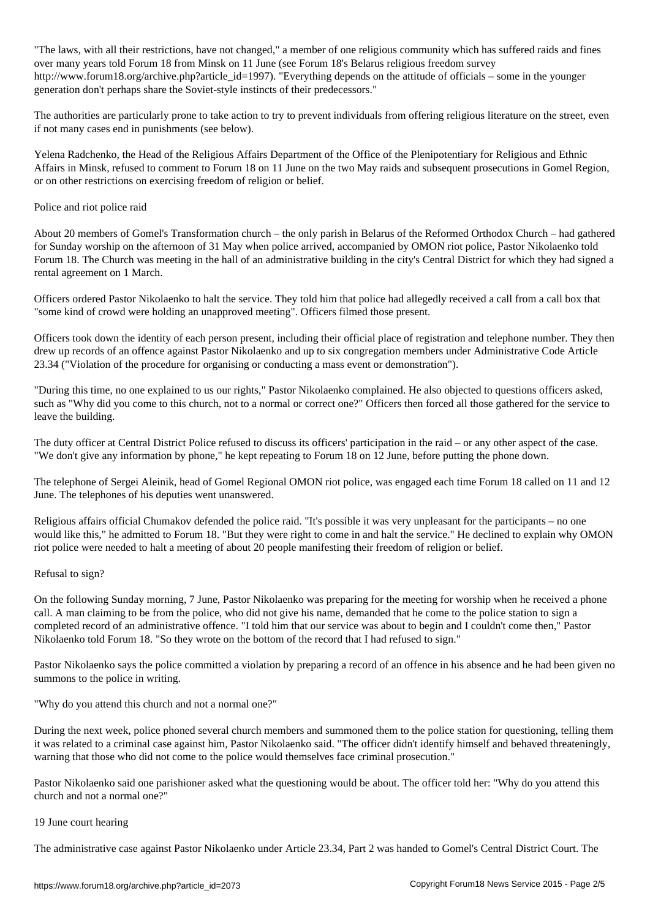. With all the laws, have not changed, a member of one religious community which has suffered raids and fines over many years told Forum 18 from Minsk on 11 June (see Forum 18's Belarus religious freedom survey http://www.forum18.org/archive.php?article\_id=1997). "Everything depends on the attitude of officials – some in the younger generation don't perhaps share the Soviet-style instincts of their predecessors."

The authorities are particularly prone to take action to try to prevent individuals from offering religious literature on the street, even if not many cases end in punishments (see below).

Yelena Radchenko, the Head of the Religious Affairs Department of the Office of the Plenipotentiary for Religious and Ethnic Affairs in Minsk, refused to comment to Forum 18 on 11 June on the two May raids and subsequent prosecutions in Gomel Region, or on other restrictions on exercising freedom of religion or belief.

### Police and riot police raid

About 20 members of Gomel's Transformation church – the only parish in Belarus of the Reformed Orthodox Church – had gathered for Sunday worship on the afternoon of 31 May when police arrived, accompanied by OMON riot police, Pastor Nikolaenko told Forum 18. The Church was meeting in the hall of an administrative building in the city's Central District for which they had signed a rental agreement on 1 March.

Officers ordered Pastor Nikolaenko to halt the service. They told him that police had allegedly received a call from a call box that "some kind of crowd were holding an unapproved meeting". Officers filmed those present.

Officers took down the identity of each person present, including their official place of registration and telephone number. They then drew up records of an offence against Pastor Nikolaenko and up to six congregation members under Administrative Code Article 23.34 ("Violation of the procedure for organising or conducting a mass event or demonstration").

"During this time, no one explained to us our rights," Pastor Nikolaenko complained. He also objected to questions officers asked, such as "Why did you come to this church, not to a normal or correct one?" Officers then forced all those gathered for the service to leave the building.

The duty officer at Central District Police refused to discuss its officers' participation in the raid – or any other aspect of the case. "We don't give any information by phone," he kept repeating to Forum 18 on 12 June, before putting the phone down.

The telephone of Sergei Aleinik, head of Gomel Regional OMON riot police, was engaged each time Forum 18 called on 11 and 12 June. The telephones of his deputies went unanswered.

Religious affairs official Chumakov defended the police raid. "It's possible it was very unpleasant for the participants – no one would like this," he admitted to Forum 18. "But they were right to come in and halt the service." He declined to explain why OMON riot police were needed to halt a meeting of about 20 people manifesting their freedom of religion or belief.

## Refusal to sign?

On the following Sunday morning, 7 June, Pastor Nikolaenko was preparing for the meeting for worship when he received a phone call. A man claiming to be from the police, who did not give his name, demanded that he come to the police station to sign a completed record of an administrative offence. "I told him that our service was about to begin and I couldn't come then," Pastor Nikolaenko told Forum 18. "So they wrote on the bottom of the record that I had refused to sign."

Pastor Nikolaenko says the police committed a violation by preparing a record of an offence in his absence and he had been given no summons to the police in writing.

"Why do you attend this church and not a normal one?"

During the next week, police phoned several church members and summoned them to the police station for questioning, telling them it was related to a criminal case against him, Pastor Nikolaenko said. "The officer didn't identify himself and behaved threateningly, warning that those who did not come to the police would themselves face criminal prosecution."

Pastor Nikolaenko said one parishioner asked what the questioning would be about. The officer told her: "Why do you attend this church and not a normal one?"

#### 19 June court hearing

The administrative case against Pastor Nikolaenko under Article 23.34, Part 2 was handed to Gomel's Central District Court. The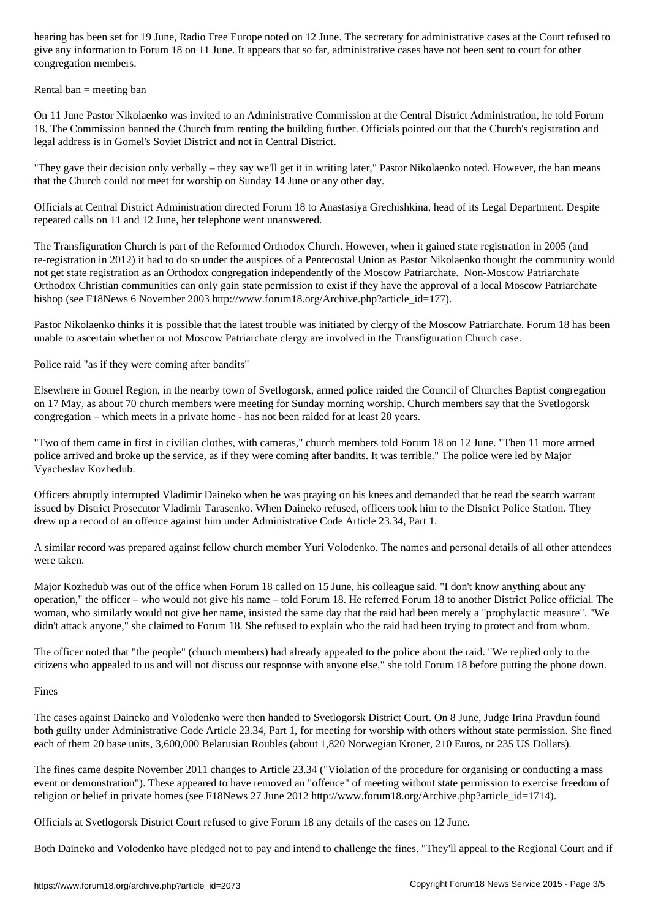give any information to Forum 18 on 11 June. It appears that so far, administrative cases have not been sent to court for other congregation members.

Rental ban  $=$  meeting ban

On 11 June Pastor Nikolaenko was invited to an Administrative Commission at the Central District Administration, he told Forum 18. The Commission banned the Church from renting the building further. Officials pointed out that the Church's registration and legal address is in Gomel's Soviet District and not in Central District.

"They gave their decision only verbally – they say we'll get it in writing later," Pastor Nikolaenko noted. However, the ban means that the Church could not meet for worship on Sunday 14 June or any other day.

Officials at Central District Administration directed Forum 18 to Anastasiya Grechishkina, head of its Legal Department. Despite repeated calls on 11 and 12 June, her telephone went unanswered.

The Transfiguration Church is part of the Reformed Orthodox Church. However, when it gained state registration in 2005 (and re-registration in 2012) it had to do so under the auspices of a Pentecostal Union as Pastor Nikolaenko thought the community would not get state registration as an Orthodox congregation independently of the Moscow Patriarchate. Non-Moscow Patriarchate Orthodox Christian communities can only gain state permission to exist if they have the approval of a local Moscow Patriarchate bishop (see F18News 6 November 2003 http://www.forum18.org/Archive.php?article\_id=177).

Pastor Nikolaenko thinks it is possible that the latest trouble was initiated by clergy of the Moscow Patriarchate. Forum 18 has been unable to ascertain whether or not Moscow Patriarchate clergy are involved in the Transfiguration Church case.

Police raid "as if they were coming after bandits"

Elsewhere in Gomel Region, in the nearby town of Svetlogorsk, armed police raided the Council of Churches Baptist congregation on 17 May, as about 70 church members were meeting for Sunday morning worship. Church members say that the Svetlogorsk congregation – which meets in a private home - has not been raided for at least 20 years.

"Two of them came in first in civilian clothes, with cameras," church members told Forum 18 on 12 June. "Then 11 more armed police arrived and broke up the service, as if they were coming after bandits. It was terrible." The police were led by Major Vyacheslav Kozhedub.

Officers abruptly interrupted Vladimir Daineko when he was praying on his knees and demanded that he read the search warrant issued by District Prosecutor Vladimir Tarasenko. When Daineko refused, officers took him to the District Police Station. They drew up a record of an offence against him under Administrative Code Article 23.34, Part 1.

A similar record was prepared against fellow church member Yuri Volodenko. The names and personal details of all other attendees were taken.

Major Kozhedub was out of the office when Forum 18 called on 15 June, his colleague said. "I don't know anything about any operation," the officer – who would not give his name – told Forum 18. He referred Forum 18 to another District Police official. The woman, who similarly would not give her name, insisted the same day that the raid had been merely a "prophylactic measure". "We didn't attack anyone," she claimed to Forum 18. She refused to explain who the raid had been trying to protect and from whom.

The officer noted that "the people" (church members) had already appealed to the police about the raid. "We replied only to the citizens who appealed to us and will not discuss our response with anyone else," she told Forum 18 before putting the phone down.

Fines

The cases against Daineko and Volodenko were then handed to Svetlogorsk District Court. On 8 June, Judge Irina Pravdun found both guilty under Administrative Code Article 23.34, Part 1, for meeting for worship with others without state permission. She fined each of them 20 base units, 3,600,000 Belarusian Roubles (about 1,820 Norwegian Kroner, 210 Euros, or 235 US Dollars).

The fines came despite November 2011 changes to Article 23.34 ("Violation of the procedure for organising or conducting a mass event or demonstration"). These appeared to have removed an "offence" of meeting without state permission to exercise freedom of religion or belief in private homes (see F18News 27 June 2012 http://www.forum18.org/Archive.php?article\_id=1714).

Officials at Svetlogorsk District Court refused to give Forum 18 any details of the cases on 12 June.

Both Daineko and Volodenko have pledged not to pay and intend to challenge the fines. "They'll appeal to the Regional Court and if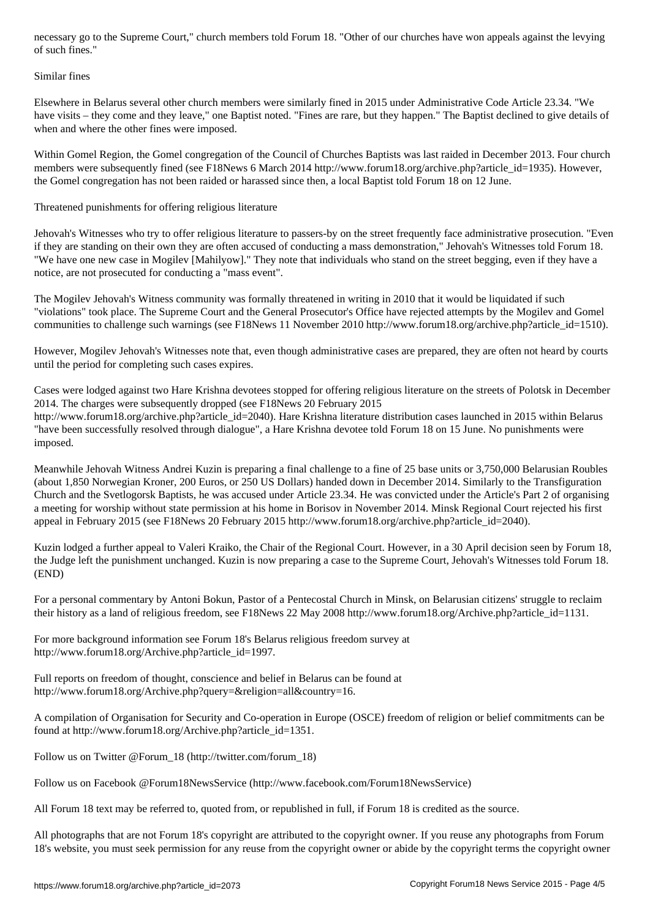#### Similar fines

Elsewhere in Belarus several other church members were similarly fined in 2015 under Administrative Code Article 23.34. "We have visits – they come and they leave," one Baptist noted. "Fines are rare, but they happen." The Baptist declined to give details of when and where the other fines were imposed.

Within Gomel Region, the Gomel congregation of the Council of Churches Baptists was last raided in December 2013. Four church members were subsequently fined (see F18News 6 March 2014 http://www.forum18.org/archive.php?article\_id=1935). However, the Gomel congregation has not been raided or harassed since then, a local Baptist told Forum 18 on 12 June.

Threatened punishments for offering religious literature

Jehovah's Witnesses who try to offer religious literature to passers-by on the street frequently face administrative prosecution. "Even if they are standing on their own they are often accused of conducting a mass demonstration," Jehovah's Witnesses told Forum 18. "We have one new case in Mogilev [Mahilyow]." They note that individuals who stand on the street begging, even if they have a notice, are not prosecuted for conducting a "mass event".

The Mogilev Jehovah's Witness community was formally threatened in writing in 2010 that it would be liquidated if such "violations" took place. The Supreme Court and the General Prosecutor's Office have rejected attempts by the Mogilev and Gomel communities to challenge such warnings (see F18News 11 November 2010 http://www.forum18.org/archive.php?article\_id=1510).

However, Mogilev Jehovah's Witnesses note that, even though administrative cases are prepared, they are often not heard by courts until the period for completing such cases expires.

Cases were lodged against two Hare Krishna devotees stopped for offering religious literature on the streets of Polotsk in December 2014. The charges were subsequently dropped (see F18News 20 February 2015 http://www.forum18.org/archive.php?article\_id=2040). Hare Krishna literature distribution cases launched in 2015 within Belarus

"have been successfully resolved through dialogue", a Hare Krishna devotee told Forum 18 on 15 June. No punishments were imposed.

Meanwhile Jehovah Witness Andrei Kuzin is preparing a final challenge to a fine of 25 base units or 3,750,000 Belarusian Roubles (about 1,850 Norwegian Kroner, 200 Euros, or 250 US Dollars) handed down in December 2014. Similarly to the Transfiguration Church and the Svetlogorsk Baptists, he was accused under Article 23.34. He was convicted under the Article's Part 2 of organising a meeting for worship without state permission at his home in Borisov in November 2014. Minsk Regional Court rejected his first appeal in February 2015 (see F18News 20 February 2015 http://www.forum18.org/archive.php?article\_id=2040).

Kuzin lodged a further appeal to Valeri Kraiko, the Chair of the Regional Court. However, in a 30 April decision seen by Forum 18, the Judge left the punishment unchanged. Kuzin is now preparing a case to the Supreme Court, Jehovah's Witnesses told Forum 18. (END)

For a personal commentary by Antoni Bokun, Pastor of a Pentecostal Church in Minsk, on Belarusian citizens' struggle to reclaim their history as a land of religious freedom, see F18News 22 May 2008 http://www.forum18.org/Archive.php?article\_id=1131.

For more background information see Forum 18's Belarus religious freedom survey at http://www.forum18.org/Archive.php?article\_id=1997.

Full reports on freedom of thought, conscience and belief in Belarus can be found at http://www.forum18.org/Archive.php?query=&religion=all&country=16.

A compilation of Organisation for Security and Co-operation in Europe (OSCE) freedom of religion or belief commitments can be found at http://www.forum18.org/Archive.php?article\_id=1351.

Follow us on Twitter @Forum\_18 (http://twitter.com/forum\_18)

Follow us on Facebook @Forum18NewsService (http://www.facebook.com/Forum18NewsService)

All Forum 18 text may be referred to, quoted from, or republished in full, if Forum 18 is credited as the source.

All photographs that are not Forum 18's copyright are attributed to the copyright owner. If you reuse any photographs from Forum 18's website, you must seek permission for any reuse from the copyright owner or abide by the copyright terms the copyright owner